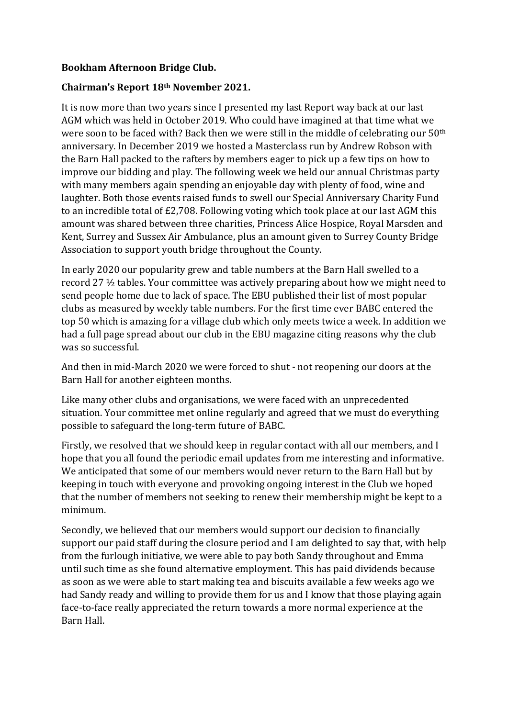## **Bookham Afternoon Bridge Club.**

## **Chairman's Report 18th November 2021.**

It is now more than two years since I presented my last Report way back at our last AGM which was held in October 2019. Who could have imagined at that time what we were soon to be faced with? Back then we were still in the middle of celebrating our 50th anniversary. In December 2019 we hosted a Masterclass run by Andrew Robson with the Barn Hall packed to the rafters by members eager to pick up a few tips on how to improve our bidding and play. The following week we held our annual Christmas party with many members again spending an enjoyable day with plenty of food, wine and laughter. Both those events raised funds to swell our Special Anniversary Charity Fund to an incredible total of £2,708. Following voting which took place at our last AGM this amount was shared between three charities, Princess Alice Hospice, Royal Marsden and Kent, Surrey and Sussex Air Ambulance, plus an amount given to Surrey County Bridge Association to support youth bridge throughout the County.

In early 2020 our popularity grew and table numbers at the Barn Hall swelled to a record 27 ½ tables. Your committee was actively preparing about how we might need to send people home due to lack of space. The EBU published their list of most popular clubs as measured by weekly table numbers. For the first time ever BABC entered the top 50 which is amazing for a village club which only meets twice a week. In addition we had a full page spread about our club in the EBU magazine citing reasons why the club was so successful.

And then in mid-March 2020 we were forced to shut - not reopening our doors at the Barn Hall for another eighteen months.

Like many other clubs and organisations, we were faced with an unprecedented situation. Your committee met online regularly and agreed that we must do everything possible to safeguard the long-term future of BABC.

Firstly, we resolved that we should keep in regular contact with all our members, and I hope that you all found the periodic email updates from me interesting and informative. We anticipated that some of our members would never return to the Barn Hall but by keeping in touch with everyone and provoking ongoing interest in the Club we hoped that the number of members not seeking to renew their membership might be kept to a minimum.

Secondly, we believed that our members would support our decision to financially support our paid staff during the closure period and I am delighted to say that, with help from the furlough initiative, we were able to pay both Sandy throughout and Emma until such time as she found alternative employment. This has paid dividends because as soon as we were able to start making tea and biscuits available a few weeks ago we had Sandy ready and willing to provide them for us and I know that those playing again face-to-face really appreciated the return towards a more normal experience at the Barn Hall.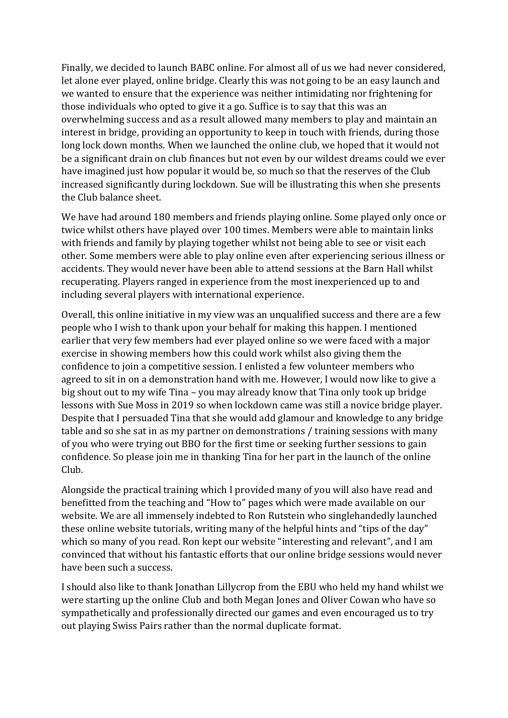Finally, we decided to launch BABC online. For almost all of us we had never considered, let alone ever played, online bridge. Clearly this was not going to be an easy launch and we wanted to ensure that the experience was neither intimidating nor frightening for those individuals who opted to give it a go. Suffice is to say that this was an overwhelming success and as a result allowed many members to play and maintain an interest in bridge, providing an opportunity to keep in touch with friends, during those long lock down months. When we launched the online club, we hoped that it would not be a significant drain on club finances but not even by our wildest dreams could we ever have imagined just how popular it would be, so much so that the reserves of the Club increased significantly during lockdown. Sue will be illustrating this when she presents the Club balance sheet.

We have had around 180 members and friends playing online. Some played only once or twice whilst others have played over 100 times. Members were able to maintain links with friends and family by playing together whilst not being able to see or visit each other. Some members were able to play online even after experiencing serious illness or accidents. They would never have been able to attend sessions at the Barn Hall whilst recuperating. Players ranged in experience from the most inexperienced up to and including several players with international experience.

Overall, this online initiative in my view was an unqualified success and there are a few people who I wish to thank upon your behalf for making this happen. I mentioned earlier that very few members had ever played online so we were faced with a major exercise in showing members how this could work whilst also giving them the confidence to join a competitive session. I enlisted a few volunteer members who agreed to sit in on a demonstration hand with me. However, I would now like to give a big shout out to my wife Tina – you may already know that Tina only took up bridge lessons with Sue Moss in 2019 so when lockdown came was still a novice bridge player. Despite that I persuaded Tina that she would add glamour and knowledge to any bridge table and so she sat in as my partner on demonstrations / training sessions with many of you who were trying out BBO for the first time or seeking further sessions to gain confidence. So please join me in thanking Tina for her part in the launch of the online Club.

Alongside the practical training which I provided many of you will also have read and benefitted from the teaching and "How to" pages which were made available on our website. We are all immensely indebted to Ron Rutstein who singlehandedly launched these online website tutorials, writing many of the helpful hints and "tips of the day" which so many of you read. Ron kept our website "interesting and relevant", and I am convinced that without his fantastic efforts that our online bridge sessions would never have been such a success.

I should also like to thank Jonathan Lillycrop from the EBU who held my hand whilst we were starting up the online Club and both Megan Jones and Oliver Cowan who have so sympathetically and professionally directed our games and even encouraged us to try out playing Swiss Pairs rather than the normal duplicate format.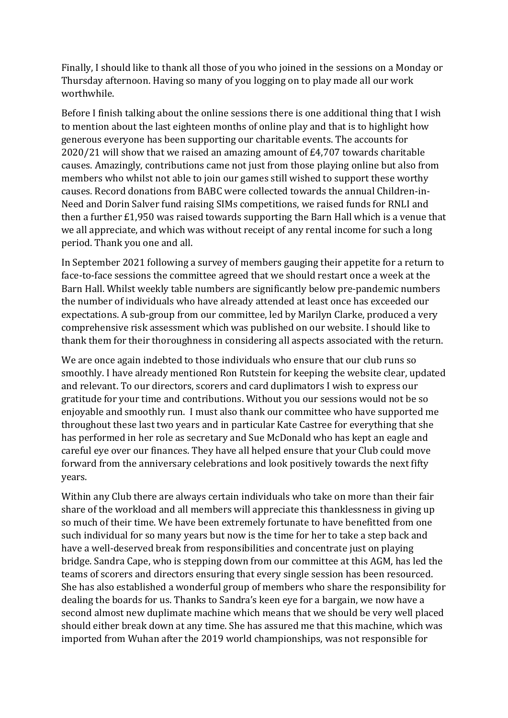Finally, I should like to thank all those of you who joined in the sessions on a Monday or Thursday afternoon. Having so many of you logging on to play made all our work worthwhile.

Before I finish talking about the online sessions there is one additional thing that I wish to mention about the last eighteen months of online play and that is to highlight how generous everyone has been supporting our charitable events. The accounts for 2020/21 will show that we raised an amazing amount of £4,707 towards charitable causes. Amazingly, contributions came not just from those playing online but also from members who whilst not able to join our games still wished to support these worthy causes. Record donations from BABC were collected towards the annual Children-in-Need and Dorin Salver fund raising SIMs competitions, we raised funds for RNLI and then a further £1,950 was raised towards supporting the Barn Hall which is a venue that we all appreciate, and which was without receipt of any rental income for such a long period. Thank you one and all.

In September 2021 following a survey of members gauging their appetite for a return to face-to-face sessions the committee agreed that we should restart once a week at the Barn Hall. Whilst weekly table numbers are significantly below pre-pandemic numbers the number of individuals who have already attended at least once has exceeded our expectations. A sub-group from our committee, led by Marilyn Clarke, produced a very comprehensive risk assessment which was published on our website. I should like to thank them for their thoroughness in considering all aspects associated with the return.

We are once again indebted to those individuals who ensure that our club runs so smoothly. I have already mentioned Ron Rutstein for keeping the website clear, updated and relevant. To our directors, scorers and card duplimators I wish to express our gratitude for your time and contributions. Without you our sessions would not be so enjoyable and smoothly run. I must also thank our committee who have supported me throughout these last two years and in particular Kate Castree for everything that she has performed in her role as secretary and Sue McDonald who has kept an eagle and careful eye over our finances. They have all helped ensure that your Club could move forward from the anniversary celebrations and look positively towards the next fifty years.

Within any Club there are always certain individuals who take on more than their fair share of the workload and all members will appreciate this thanklessness in giving up so much of their time. We have been extremely fortunate to have benefitted from one such individual for so many years but now is the time for her to take a step back and have a well-deserved break from responsibilities and concentrate just on playing bridge. Sandra Cape, who is stepping down from our committee at this AGM, has led the teams of scorers and directors ensuring that every single session has been resourced. She has also established a wonderful group of members who share the responsibility for dealing the boards for us. Thanks to Sandra's keen eye for a bargain, we now have a second almost new duplimate machine which means that we should be very well placed should either break down at any time. She has assured me that this machine, which was imported from Wuhan after the 2019 world championships, was not responsible for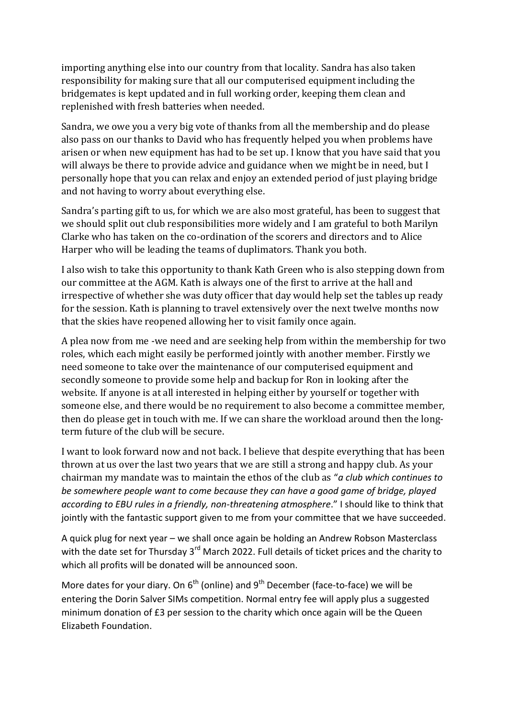importing anything else into our country from that locality. Sandra has also taken responsibility for making sure that all our computerised equipment including the bridgemates is kept updated and in full working order, keeping them clean and replenished with fresh batteries when needed.

Sandra, we owe you a very big vote of thanks from all the membership and do please also pass on our thanks to David who has frequently helped you when problems have arisen or when new equipment has had to be set up. I know that you have said that you will always be there to provide advice and guidance when we might be in need, but I personally hope that you can relax and enjoy an extended period of just playing bridge and not having to worry about everything else.

Sandra's parting gift to us, for which we are also most grateful, has been to suggest that we should split out club responsibilities more widely and I am grateful to both Marilyn Clarke who has taken on the co-ordination of the scorers and directors and to Alice Harper who will be leading the teams of duplimators. Thank you both.

I also wish to take this opportunity to thank Kath Green who is also stepping down from our committee at the AGM. Kath is always one of the first to arrive at the hall and irrespective of whether she was duty officer that day would help set the tables up ready for the session. Kath is planning to travel extensively over the next twelve months now that the skies have reopened allowing her to visit family once again.

A plea now from me -we need and are seeking help from within the membership for two roles, which each might easily be performed jointly with another member. Firstly we need someone to take over the maintenance of our computerised equipment and secondly someone to provide some help and backup for Ron in looking after the website. If anyone is at all interested in helping either by yourself or together with someone else, and there would be no requirement to also become a committee member, then do please get in touch with me. If we can share the workload around then the longterm future of the club will be secure.

I want to look forward now and not back. I believe that despite everything that has been thrown at us over the last two years that we are still a strong and happy club. As your chairman my mandate was to maintain the ethos of the club as "*a club which continues to be somewhere people want to come because they can have a good game of bridge, played according to EBU rules in a friendly, non-threatening atmosphere*." I should like to think that jointly with the fantastic support given to me from your committee that we have succeeded.

A quick plug for next year – we shall once again be holding an Andrew Robson Masterclass with the date set for Thursday 3<sup>rd</sup> March 2022. Full details of ticket prices and the charity to which all profits will be donated will be announced soon.

More dates for your diary. On  $6<sup>th</sup>$  (online) and  $9<sup>th</sup>$  December (face-to-face) we will be entering the Dorin Salver SIMs competition. Normal entry fee will apply plus a suggested minimum donation of £3 per session to the charity which once again will be the Queen Elizabeth Foundation.